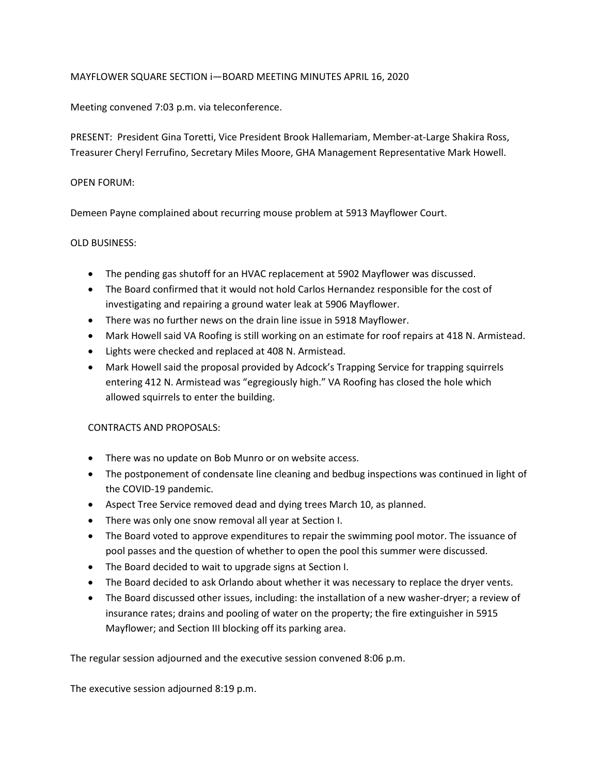## MAYFLOWER SQUARE SECTION i—BOARD MEETING MINUTES APRIL 16, 2020

Meeting convened 7:03 p.m. via teleconference.

PRESENT: President Gina Toretti, Vice President Brook Hallemariam, Member-at-Large Shakira Ross, Treasurer Cheryl Ferrufino, Secretary Miles Moore, GHA Management Representative Mark Howell.

## OPEN FORUM:

Demeen Payne complained about recurring mouse problem at 5913 Mayflower Court.

## OLD BUSINESS:

- The pending gas shutoff for an HVAC replacement at 5902 Mayflower was discussed.
- The Board confirmed that it would not hold Carlos Hernandez responsible for the cost of investigating and repairing a ground water leak at 5906 Mayflower.
- There was no further news on the drain line issue in 5918 Mayflower.
- Mark Howell said VA Roofing is still working on an estimate for roof repairs at 418 N. Armistead.
- Lights were checked and replaced at 408 N. Armistead.
- Mark Howell said the proposal provided by Adcock's Trapping Service for trapping squirrels entering 412 N. Armistead was "egregiously high." VA Roofing has closed the hole which allowed squirrels to enter the building.

## CONTRACTS AND PROPOSALS:

- There was no update on Bob Munro or on website access.
- The postponement of condensate line cleaning and bedbug inspections was continued in light of the COVID-19 pandemic.
- Aspect Tree Service removed dead and dying trees March 10, as planned.
- There was only one snow removal all year at Section I.
- The Board voted to approve expenditures to repair the swimming pool motor. The issuance of pool passes and the question of whether to open the pool this summer were discussed.
- The Board decided to wait to upgrade signs at Section I.
- The Board decided to ask Orlando about whether it was necessary to replace the dryer vents.
- The Board discussed other issues, including: the installation of a new washer-dryer; a review of insurance rates; drains and pooling of water on the property; the fire extinguisher in 5915 Mayflower; and Section III blocking off its parking area.

The regular session adjourned and the executive session convened 8:06 p.m.

The executive session adjourned 8:19 p.m.